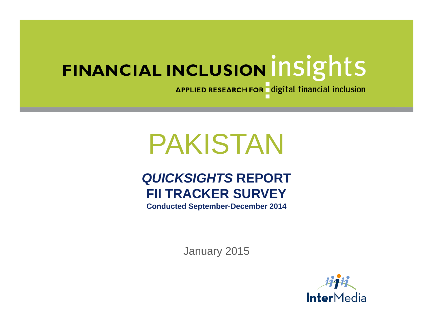APPLIED RESEARCH FOR digital financial inclusion

# PAKISTAN

# *QUICKSIGHTS* **REPORT FII TRACKER SURVEY**

**Conducted September-December 2014**

January 2015

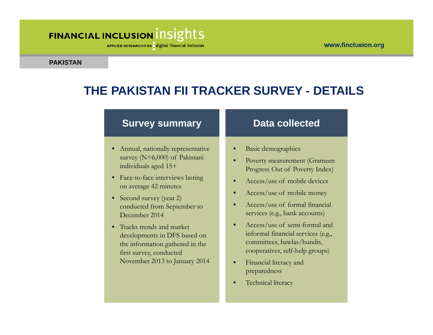#### www.finclusion.org

# FINANCIAL INCLUSION INSIGHTS

APPLIED RESEARCH FOR digital financial inclusion

#### **PAKISTAN**

# **THE PAKISTAN FII TRACKER SURVEY - DETAILS**

#### **Survey summary**

- Annual, nationally representative survey (N=6,000) of Pakistani individuals aged 15+
- Face-to-face interviews lasting on average 42 minutes
- Second survey (year 2) conducted from September to December 2014
- Tracks trends and market developments in DFS based on the information gathered in the first survey, conducted November 2013 to January 2014

#### **Data collected**

- •Basic demographics
- • Poverty measurement (Grameen Progress Out of Poverty Index)
- •Access/use of mobile devices
- •Access/use of mobile money
- • Access/use of formal financial services (e.g., bank accounts)
- • Access/use of semi-formal and informal financial services (e.g., committees, hawlas/hundis, cooperatives, self-help groups)
- • Financial literacy and preparedness
- •Technical literacy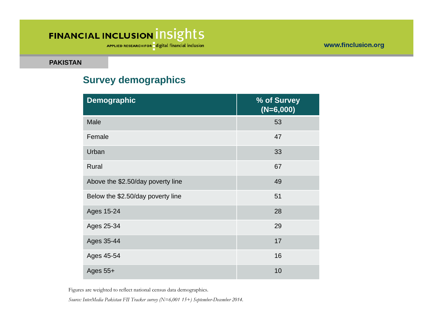APPLIED RESEARCH FOR digital financial inclusion

**PAKISTAN**

#### **Survey demographics**

| <b>Demographic</b>                | % of Survey<br>$(N=6,000)$ |
|-----------------------------------|----------------------------|
| Male                              | 53                         |
| Female                            | 47                         |
| Urban                             | 33                         |
| Rural                             | 67                         |
| Above the \$2.50/day poverty line | 49                         |
| Below the \$2.50/day poverty line | 51                         |
| Ages 15-24                        | 28                         |
| Ages 25-34                        | 29                         |
| Ages 35-44                        | 17                         |
| Ages 45-54                        | 16                         |
| Ages $55+$                        | 10                         |

Figures are weighted to reflect national census data demographics.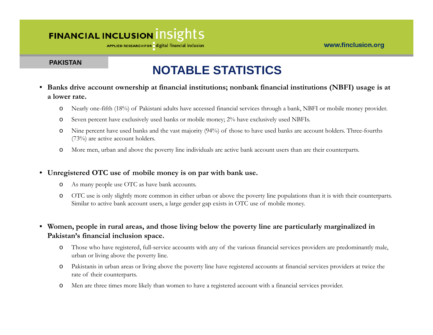#### www.finclusion.org

### FINANCIAL INCLUSION INSIGHTS

APPLIED RESEARCH FOR digital financial inclusion

#### **PAKISTAN**

# **NOTABLE STATISTICS**

- **Banks drive account ownership at financial institutions; nonbank financial institutions (NBFI) usage is at a lower rate.** 
	- oNearly one-fifth (18%) of Pakistani adults have accessed financial services through a bank, NBFI or mobile money provider.
	- oSeven percent have exclusively used banks or mobile money;  $2\%$  have exclusively used NBFIs.
	- o Nine percent have used banks and the vast majority (94%) of those to have used banks are account holders. Three-fourths (73%) are active account holders.
	- oMore men, urban and above the poverty line individuals are active bank account users than are their counterparts.

#### • **Unregistered OTC use of mobile money is on par with bank use.**

- oAs many people use OTC as have bank accounts.
- o OTC use is only slightly more common in either urban or above the poverty line populations than it is with their counterparts. Similar to active bank account users, a large gender gap exists in OTC use of mobile money.

#### • **Women, people in rural areas, and those living below the poverty line are particularly marginalized in Pakistan's financial inclusion space.**

- o Those who have registered, full-service accounts with any of the various financial services providers are predominantly male, urban or living above the poverty line.
- o Pakistanis in urban areas or living above the poverty line have registered accounts at financial services providers at twice the rate of their counterparts.
- oMen are three times more likely than women to have a registered account with a financial services provider.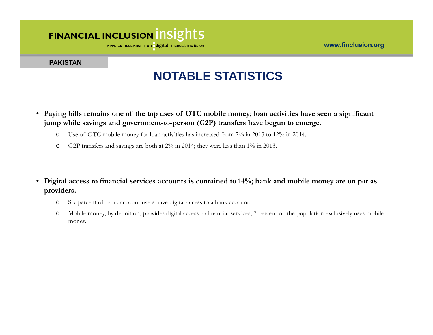APPLIED RESEARCH FOR digital financial inclusion

#### **PAKISTAN**

## **NOTABLE STATISTICS**

- • **Paying bills remains one of the top uses of OTC mobile money; loan activities have seen a significant jump while savings and government-to-person (G2P) transfers have begun to emerge.** 
	- oUse of OTC mobile money for loan activities has increased from 2% in 2013 to 12% in 2014.
	- oG2P transfers and savings are both at 2% in 2014; they were less than 1% in 2013.
- • **Digital access to financial services accounts is contained to 14%; bank and mobile money are on par as providers.** 
	- oSix percent of bank account users have digital access to a bank account.
	- o Mobile money, by definition, provides digital access to financial services; 7 percent of the population exclusively uses mobile money.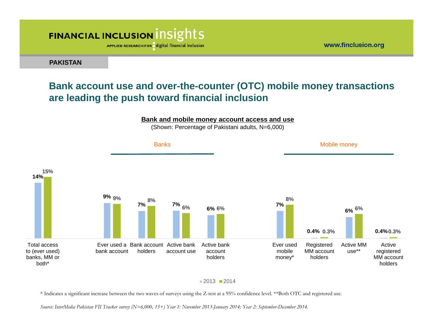APPLIED RESEARCH FOR digital financial inclusion

**PAKISTAN**

#### **Bank account use and over-the-counter (OTC) mobile money transactions are leading the push toward financial inclusion**

www.finclusion.org



2013 2014

\* Indicates a significant increase between the two waves of surveys using the Z-test at a 95% confidence level. \*\*Both OTC and registered use.

*Source: InterMedia Pakistan FII Tracker survey (N=6,000, 15+) Year 1: November 2013-January 2014; Year 2: September-December 2014.*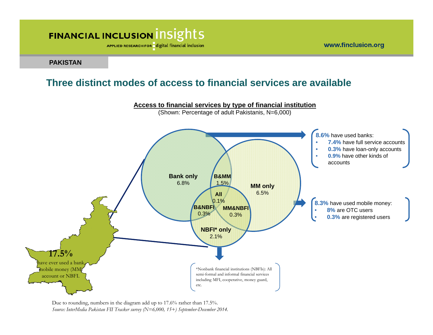APPLIED RESEARCH FOR digital financial inclusion

www.finclusion.org

#### **PAKISTAN**

#### **Three distinct modes of access to financial services are available**



Due to rounding, numbers in the diagram add up to 17.6% rather than 17.5%. *Source: InterMedia Pakistan FII Tracker survey (N=6,000, 15+) September-December 2014.*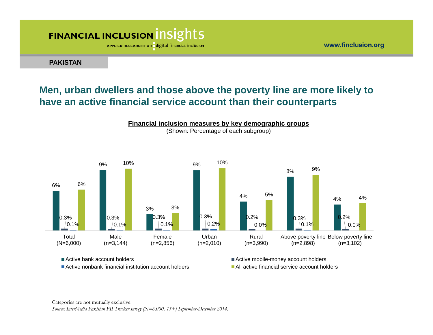APPLIED RESEARCH FOR digital financial inclusion

**PAKISTAN**

#### **Men, urban dwellers and those above the poverty line are more likely to have an active financial service account than their counterparts**



■ Active bank account holders

■ Active nonbank financial institution account holders

Active mobile-money account holders **All active financial service account holders** 

Categories are not mutually exclusive.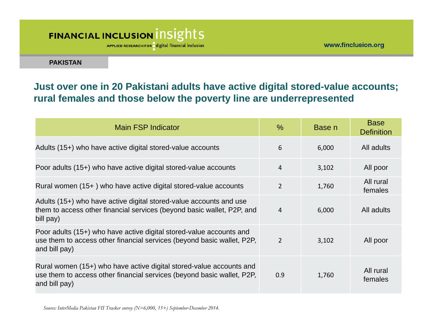APPLIED RESEARCH FOR digital financial inclusion

**PAKISTAN**

#### **Just over one in 20 Pakistani adults have active digital stored-value accounts; rural females and those below the poverty line are underrepresented**

| Main FSP Indicator                                                                                                                                             | $\%$           | Base n | <b>Base</b><br><b>Definition</b> |
|----------------------------------------------------------------------------------------------------------------------------------------------------------------|----------------|--------|----------------------------------|
| Adults (15+) who have active digital stored-value accounts                                                                                                     | 6              | 6,000  | All adults                       |
| Poor adults (15+) who have active digital stored-value accounts                                                                                                | $\overline{4}$ | 3,102  | All poor                         |
| Rural women (15+) who have active digital stored-value accounts                                                                                                | $\overline{2}$ | 1,760  | All rural<br>females             |
| Adults (15+) who have active digital stored-value accounts and use<br>them to access other financial services (beyond basic wallet, P2P, and<br>bill pay)      | 4              | 6,000  | All adults                       |
| Poor adults (15+) who have active digital stored-value accounts and<br>use them to access other financial services (beyond basic wallet, P2P,<br>and bill pay) | $\overline{2}$ | 3,102  | All poor                         |
| Rural women (15+) who have active digital stored-value accounts and<br>use them to access other financial services (beyond basic wallet, P2P,<br>and bill pay) | 0.9            | 1,760  | All rural<br>females             |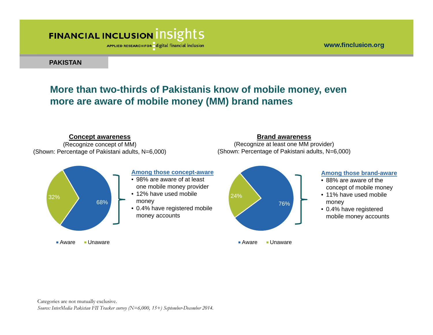**Concept awareness**

APPLIED RESEARCH FOR digital financial inclusion

**PAKISTAN**

#### **More than two-thirds of Pakistanis know of mobile money, even more are aware of mobile money (MM) brand names**



**Brand awareness**

Categories are not mutually exclusive.

*Source: InterMedia Pakistan FII Tracker survey (N=6,000, 15+) September-December 2014.* 

www.finclusion.org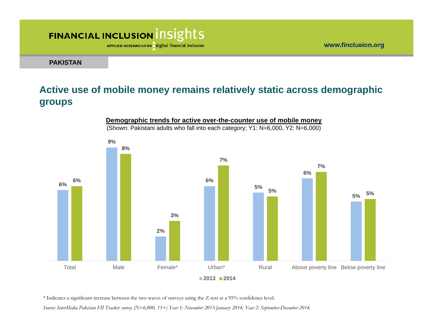APPLIED RESEARCH FOR digital financial inclusion

**PAKISTAN**

#### **Active use of mobile money remains relatively static across demographic groups**



**Demographic trends for active over-the-counter use of mobile money** (Shown: Pakistani adults who fall into each category; Y1: N=6,000, Y2: N=6,000)

*\** Indicates a significant increase between the two waves of surveys using the Z-test at a 95% confidence level.

*Source: InterMedia Pakistan FII Tracker survey (N=6,000, 15+) Year 1: November 2013-January 2014; Year 2: September-December 2014.*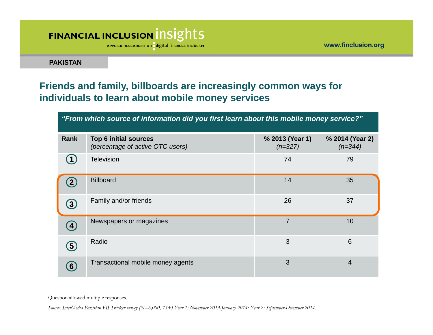APPLIED RESEARCH FOR digital financial inclusion

**PAKISTAN**

#### **Friends and family, billboards are increasingly common ways for individuals to learn about mobile money services**

| "From which source of information did you first learn about this mobile money service?" |                                                                  |                              |                              |  |
|-----------------------------------------------------------------------------------------|------------------------------------------------------------------|------------------------------|------------------------------|--|
| Rank                                                                                    | <b>Top 6 initial sources</b><br>(percentage of active OTC users) | % 2013 (Year 1)<br>$(n=327)$ | % 2014 (Year 2)<br>$(n=344)$ |  |
|                                                                                         | <b>Television</b>                                                | 74                           | 79                           |  |
|                                                                                         | <b>Billboard</b>                                                 | 14                           | 35                           |  |
| $\left( 3\right)$                                                                       | Family and/or friends                                            | 26                           | 37                           |  |
| $\left( 4\right)$                                                                       | Newspapers or magazines                                          | $\overline{7}$               | 10                           |  |
| $\left(5\right)$                                                                        | Radio                                                            | 3                            | 6                            |  |
| $\bm{6}$                                                                                | Transactional mobile money agents                                | 3                            | $\overline{4}$               |  |

Question allowed multiple responses.

*Source: InterMedia Pakistan FII Tracker survey (N=6,000, 15+) Year 1: November 2013-January 2014; Year 2: September-December 2014.*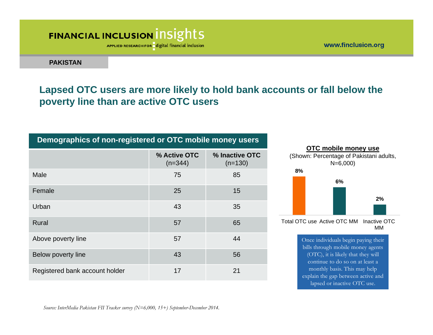APPLIED RESEARCH FOR digital financial inclusion

www.finclusion.org

**PAKISTAN**

#### **Lapsed OTC users are more likely to hold bank accounts or fall below the poverty line than are active OTC users**

#### **Demographics of non-registered or OTC mobile money users**

|                                | % Active OTC<br>$(n=344)$ | % Inactive OTC<br>$(n=130)$ |
|--------------------------------|---------------------------|-----------------------------|
| Male                           | 75                        | 85                          |
| Female                         | 25                        | 15                          |
| Urban                          | 43                        | 35                          |
| Rural                          | 57                        | 65                          |
| Above poverty line             | 57                        | 44                          |
| Below poverty line             | 43                        | 56                          |
| Registered bank account holder | 17                        | 21                          |



bills through mobile money agents (OTC), it is likely that they will continue to do so on at least a monthly basis. This may help explain the gap between active and lapsed or inactive OTC use.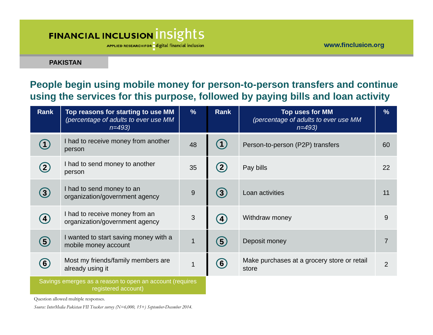APPLIED RESEARCH FOR digital financial inclusion

**PAKISTAN**

#### **People begin using mobile money for person-to-person transfers and continue using the services for this purpose, followed by paying bills and loan activity**

| <b>Rank</b>                                                                     | Top reasons for starting to use MM<br>(percentage of adults to ever use MM<br>$n=493$ | $\%$ | <b>Rank</b>       | Top uses for MM<br>(percentage of adults to ever use MM<br>$n = 493$ | $\%$           |
|---------------------------------------------------------------------------------|---------------------------------------------------------------------------------------|------|-------------------|----------------------------------------------------------------------|----------------|
|                                                                                 | I had to receive money from another<br>person                                         | 48   |                   | Person-to-person (P2P) transfers                                     | 60             |
| $\left( 2\right)$                                                               | I had to send money to another<br>person                                              | 35   |                   | Pay bills                                                            | 22             |
| 3                                                                               | I had to send money to an<br>organization/government agency                           | 9    | 3                 | Loan activities                                                      | 11             |
| $\left( 4\right)$                                                               | I had to receive money from an<br>organization/government agency                      | 3    | $\left( 4\right)$ | Withdraw money                                                       | 9              |
| 5                                                                               | I wanted to start saving money with a<br>mobile money account                         | 1    | (5)               | Deposit money                                                        | $\overline{7}$ |
| (6)                                                                             | Most my friends/family members are<br>already using it                                |      | $\left( 6\right)$ | Make purchases at a grocery store or retail<br>store                 | $\overline{2}$ |
| Savings emerges as a reason to open an account (requires<br>registered account) |                                                                                       |      |                   |                                                                      |                |

Question allowed multiple responses.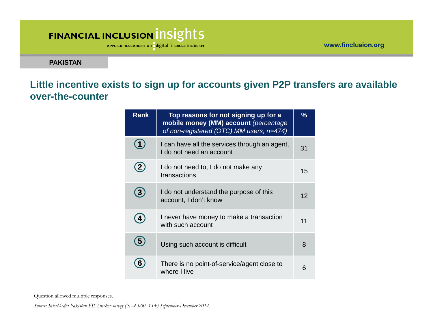APPLIED RESEARCH FOR digital financial inclusion

www.finclusion.org

**PAKISTAN**

#### **Little incentive exists to sign up for accounts given P2P transfers are available over-the-counter**

| <b>Rank</b>  | Top reasons for not signing up for a<br>mobile money (MM) account (percentage<br>of non-registered (OTC) MM users, n=474) | $\frac{9}{6}$ |
|--------------|---------------------------------------------------------------------------------------------------------------------------|---------------|
|              | I can have all the services through an agent,<br>I do not need an account                                                 | 31            |
| (2)          | I do not need to, I do not make any<br>transactions                                                                       | 15            |
| $\mathbf{3}$ | I do not understand the purpose of this<br>account, I don't know                                                          | 12            |
| 4            | I never have money to make a transaction<br>with such account                                                             | 11            |
| 5            | Using such account is difficult                                                                                           | 8             |
|              | There is no point-of-service/agent close to<br>where I live                                                               | 6             |

Question allowed multiple responses.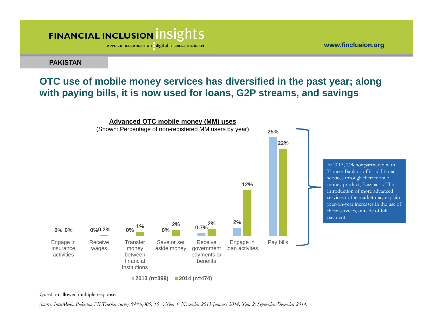APPLIED RESEARCH FOR digital financial inclusion

**PAKISTAN**

#### **OTC use of mobile money services has diversified in the past year; along with paying bills, it is now used for loans, G2P streams, and savings**



Question allowed multiple responses.

*Source: InterMedia Pakistan FII Tracker survey (N=6,000, 15+) Year 1: November 2013-January 2014; Year 2: September-December 2014.*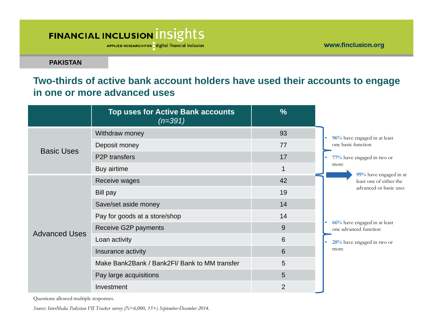APPLIED RESEARCH FOR digital financial inclusion

www.finclusion.org

**PAKISTAN**

#### **Two-thirds of active bank account holders have used their accounts to engage in one or more advanced uses**

|                      | <b>Top uses for Active Bank accounts</b><br>$(n=391)$ | $\frac{0}{0}$  |                                                       |
|----------------------|-------------------------------------------------------|----------------|-------------------------------------------------------|
|                      | Withdraw money                                        | 93             | 96% have engaged in at least                          |
|                      | Deposit money                                         | 77             | one basic function                                    |
| <b>Basic Uses</b>    | <b>P2P</b> transfers                                  | 17             | 77% have engaged in two or                            |
|                      | Buy airtime                                           | $\overline{1}$ | more                                                  |
|                      | Receive wages                                         | 42             | 99% have engaged in at<br>least one of either the     |
|                      | Bill pay                                              | 19             | advanced or basic uses                                |
|                      | Save/set aside money                                  | 14             |                                                       |
|                      | Pay for goods at a store/shop                         | 14             |                                                       |
| <b>Advanced Uses</b> | Receive G2P payments                                  | 9              | 66% have engaged in at least<br>one advanced function |
|                      | Loan activity                                         | 6              | 28% have engaged in two or                            |
|                      | Insurance activity                                    | 6              | more                                                  |
|                      | Make Bank2Bank / Bank2FI/ Bank to MM transfer         | 5              |                                                       |
|                      | Pay large acquisitions                                | 5              |                                                       |
|                      | Investment                                            | $\overline{2}$ |                                                       |

Questions allowed multiple responses.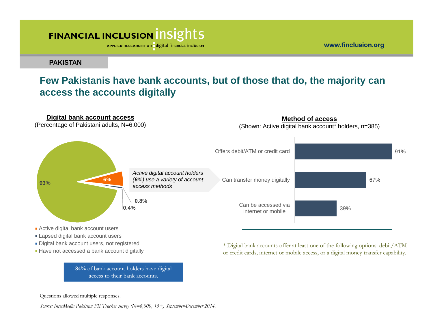APPLIED RESEARCH FOR digital financial inclusion

www.finclusion.org

**PAKISTAN**

#### **Few Pakistanis have bank accounts, but of those that do, the majority can access the accounts digitally**



- 
- Digital bank account users, not registered
- Have not accessed a bank account digitally

**84%** of bank account holders have digital access to their bank accounts.

\* Digital bank accounts offer at least one of the following options: debit/ATM or credit cards, internet or mobile access, or a digital money transfer capability.

Questions allowed multiple responses.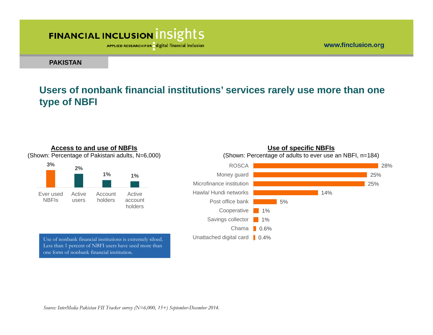APPLIED RESEARCH FOR digital financial inclusion

**PAKISTAN**

#### **Users of nonbank financial institutions' services rarely use more than one type of NBFI**



Use of nonbank financial institutions is extremely siloed. Less than 1 percent of NBFI users have used more than one form of nonbank financial institution.



www.finclusion.org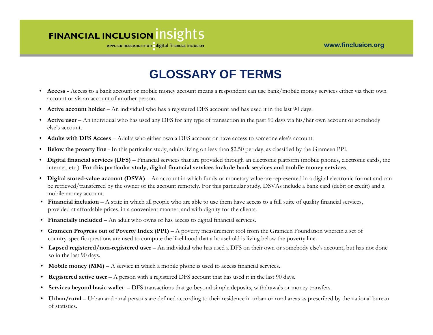APPLIED RESEARCH FOR digital financial inclusion

## **GLOSSARY OF TERMS**

- **Access -** Access to a bank account or mobile money account means a respondent can use bank/mobile money services either via their own account or via an account of another person.
- $\bullet$ **Active account holder** – An individual who has a registered DFS account and has used it in the last 90 days.
- **Active user** An individual who has used any DFS for any type of transaction in the past 90 days via his/her own account or somebody else's account.
- $\bullet$ **Adults with DFS Access** – Adults who either own a DFS account or have access to someone else's account.
- •**Below the poverty line** - In this particular study, adults living on less than \$2.50 per day, as classified by the Grameen PPI.
- $\bullet$  **Digital financial services (DFS)** – Financial services that are provided through an electronic platform (mobile phones, electronic cards, the internet, etc.). **For this particular study, digital financial services include bank services and mobile money services**.
- •**Digital stored-value account (DSVA)** – An account in which funds or monetary value are represented in a digital electronic format and can be retrieved/transferred by the owner of the account remotely. For this particular study, DSVAs include a bank card (debit or credit) and a mobile money account.
- **Financial inclusion**  A state in which all people who are able to use them have access to a full suite of quality financial services, provided at affordable prices, in a convenient manner, and with dignity for the clients.
- **Financially included**  An adult who owns or has access to digital financial services.
- **Grameen Progress out of Poverty Index (PPI)**  A poverty measurement tool from the Grameen Foundation wherein a set of country-specific questions are used to compute the likelihood that a household is living below the poverty line.
- **Lapsed registered/non-registered user**  An individual who has used a DFS on their own or somebody else's account, but has not done so in the last 90 days.
- **Mobile money (MM)**  A service in which a mobile phone is used to access financial services.
- **Registered active user**  A person with a registered DFS account that has used it in the last 90 days.
- **Services beyond basic wallet**  DFS transactions that go beyond simple deposits, withdrawals or money transfers.
- **Urban/rural**  Urban and rural persons are defined according to their residence in urban or rural areas as prescribed by the national bureau of statistics.